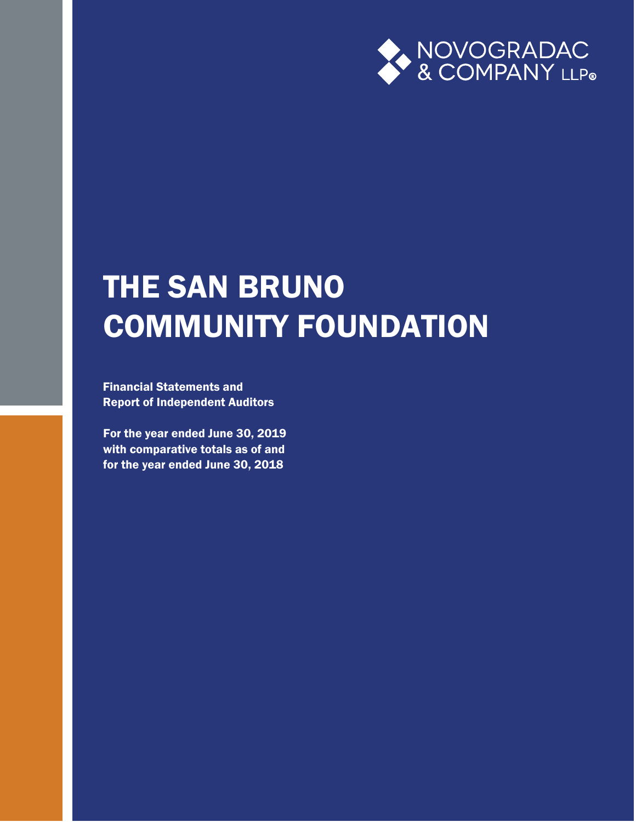

Financial Statements and Report of Independent Auditors

For the year ended June 30, 2019 with comparative totals as of and for the year ended June 30, 2018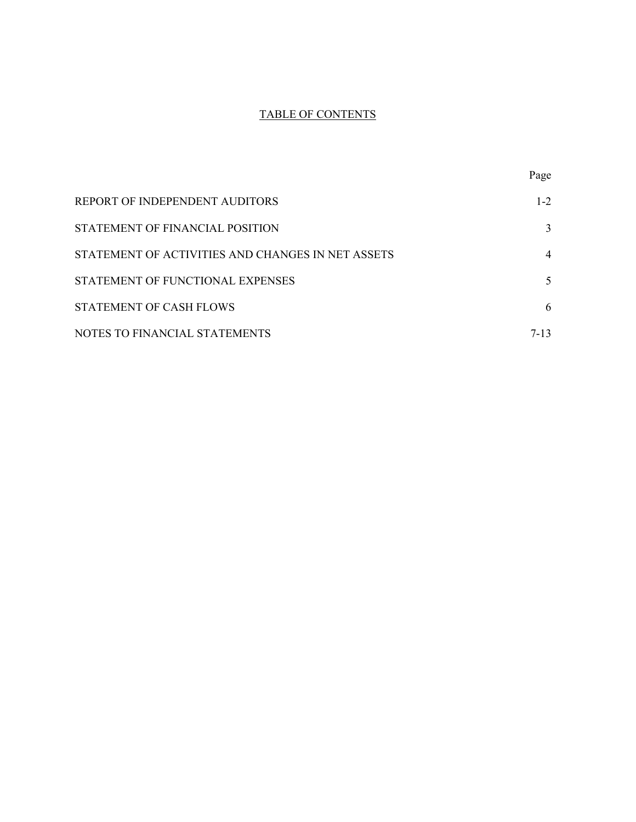#### TABLE OF CONTENTS

|                                                   | Page           |
|---------------------------------------------------|----------------|
| REPORT OF INDEPENDENT AUDITORS                    | $1 - 2$        |
| STATEMENT OF FINANCIAL POSITION                   | 3              |
| STATEMENT OF ACTIVITIES AND CHANGES IN NET ASSETS | $\overline{4}$ |
| STATEMENT OF FUNCTIONAL EXPENSES                  | 5              |
| STATEMENT OF CASH FLOWS                           | 6              |
| NOTES TO FINANCIAL STATEMENTS                     | $7 - 13$       |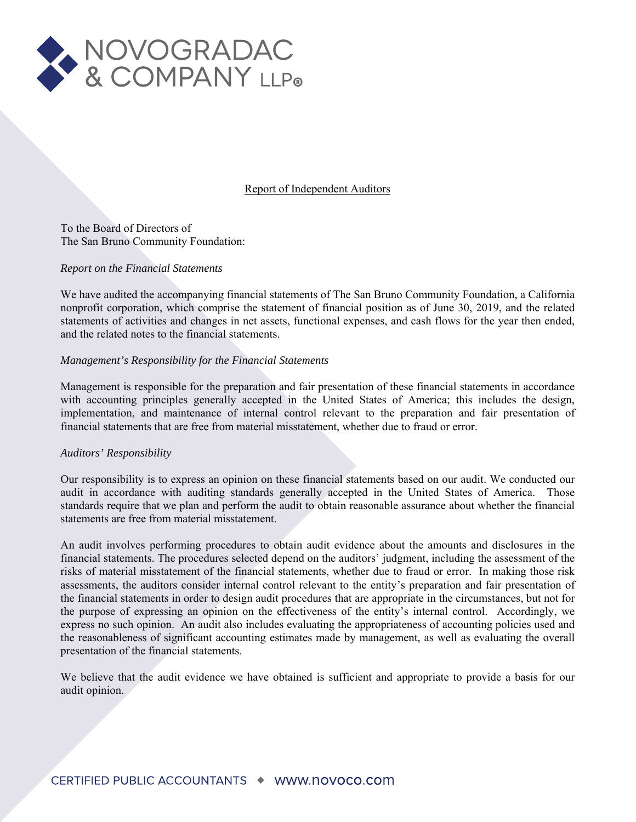

Report of Independent Auditors

To the Board of Directors of The San Bruno Community Foundation:

#### *Report on the Financial Statements*

We have audited the accompanying financial statements of The San Bruno Community Foundation, a California nonprofit corporation, which comprise the statement of financial position as of June 30, 2019, and the related statements of activities and changes in net assets, functional expenses, and cash flows for the year then ended, and the related notes to the financial statements.

#### *Management's Responsibility for the Financial Statements*

Management is responsible for the preparation and fair presentation of these financial statements in accordance with accounting principles generally accepted in the United States of America; this includes the design, implementation, and maintenance of internal control relevant to the preparation and fair presentation of financial statements that are free from material misstatement, whether due to fraud or error.

#### *Auditors' Responsibility*

Our responsibility is to express an opinion on these financial statements based on our audit. We conducted our audit in accordance with auditing standards generally accepted in the United States of America. Those standards require that we plan and perform the audit to obtain reasonable assurance about whether the financial statements are free from material misstatement.

An audit involves performing procedures to obtain audit evidence about the amounts and disclosures in the financial statements. The procedures selected depend on the auditors' judgment, including the assessment of the risks of material misstatement of the financial statements, whether due to fraud or error. In making those risk assessments, the auditors consider internal control relevant to the entity's preparation and fair presentation of the financial statements in order to design audit procedures that are appropriate in the circumstances, but not for the purpose of expressing an opinion on the effectiveness of the entity's internal control. Accordingly, we express no such opinion. An audit also includes evaluating the appropriateness of accounting policies used and the reasonableness of significant accounting estimates made by management, as well as evaluating the overall presentation of the financial statements.

We believe that the audit evidence we have obtained is sufficient and appropriate to provide a basis for our audit opinion.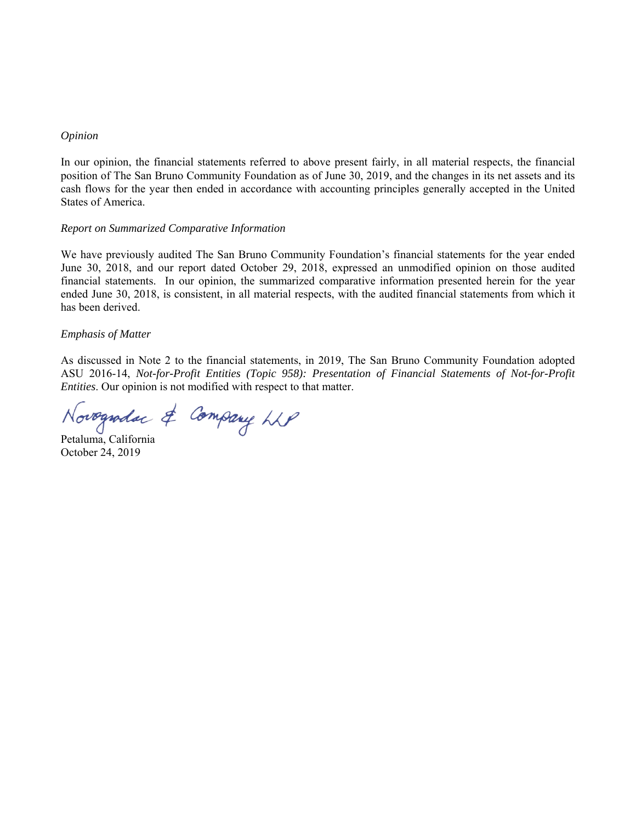#### *Opinion*

In our opinion, the financial statements referred to above present fairly, in all material respects, the financial position of The San Bruno Community Foundation as of June 30, 2019, and the changes in its net assets and its cash flows for the year then ended in accordance with accounting principles generally accepted in the United States of America.

#### *Report on Summarized Comparative Information*

We have previously audited The San Bruno Community Foundation's financial statements for the year ended June 30, 2018, and our report dated October 29, 2018, expressed an unmodified opinion on those audited financial statements. In our opinion, the summarized comparative information presented herein for the year ended June 30, 2018, is consistent, in all material respects, with the audited financial statements from which it has been derived.

#### *Emphasis of Matter*

As discussed in Note 2 to the financial statements, in 2019, The San Bruno Community Foundation adopted ASU 2016-14, *Not-for-Profit Entities (Topic 958): Presentation of Financial Statements of Not-for-Profit Entities*. Our opinion is not modified with respect to that matter.

Novognodac & Company LLP

October 24, 2019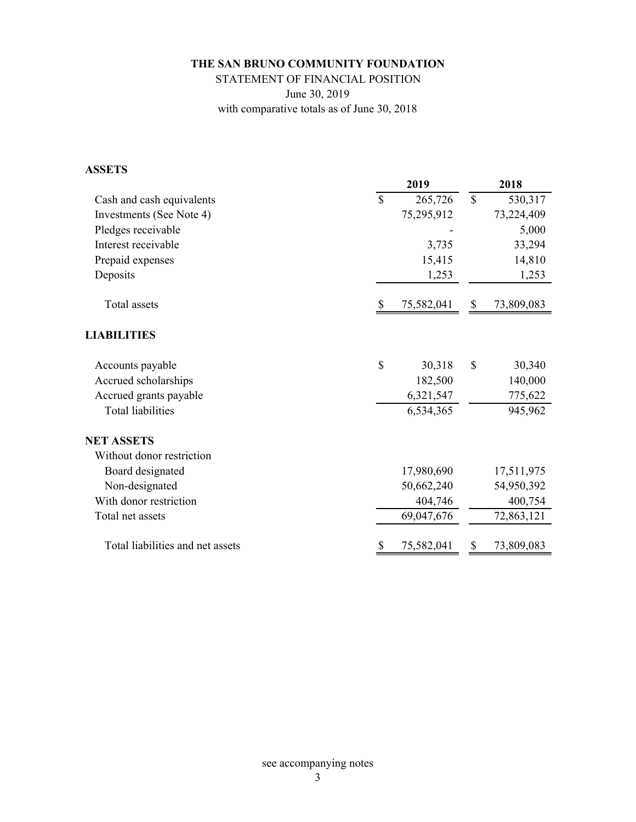#### STATEMENT OF FINANCIAL POSITION

June 30, 2019

with comparative totals as of June 30, 2018

## **ASSETS**

|                                  |                    | 2019       |              | 2018       |
|----------------------------------|--------------------|------------|--------------|------------|
| Cash and cash equivalents        | $\mathbf{\hat{S}}$ | 265,726    | $\mathbf S$  | 530,317    |
| Investments (See Note 4)         |                    | 75,295,912 |              | 73,224,409 |
| Pledges receivable               |                    |            |              | 5,000      |
| Interest receivable              |                    | 3,735      |              | 33,294     |
| Prepaid expenses                 |                    | 15,415     |              | 14,810     |
| Deposits                         |                    | 1,253      |              | 1,253      |
| Total assets                     | \$.                | 75,582,041 | \$           | 73,809,083 |
| <b>LIABILITIES</b>               |                    |            |              |            |
| Accounts payable                 | \$                 | 30,318     | $\mathbb{S}$ | 30,340     |
| Accrued scholarships             |                    | 182,500    |              | 140,000    |
| Accrued grants payable           |                    | 6,321,547  |              | 775,622    |
| <b>Total liabilities</b>         |                    | 6,534,365  |              | 945,962    |
| <b>NET ASSETS</b>                |                    |            |              |            |
| Without donor restriction        |                    |            |              |            |
| Board designated                 |                    | 17,980,690 |              | 17,511,975 |
| Non-designated                   |                    | 50,662,240 |              | 54,950,392 |
| With donor restriction           |                    | 404,746    |              | 400,754    |
| Total net assets                 |                    | 69,047,676 |              | 72,863,121 |
| Total liabilities and net assets | S                  | 75,582,041 | \$           | 73,809,083 |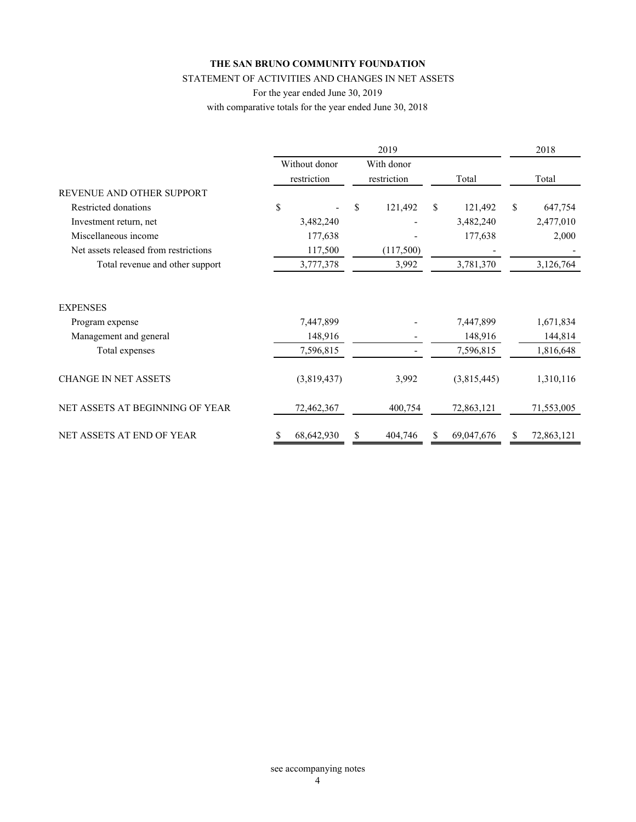#### STATEMENT OF ACTIVITIES AND CHANGES IN NET ASSETS

For the year ended June 30, 2019

with comparative totals for the year ended June 30, 2018

|                                       | 2019                         |                           |               | 2018          |
|---------------------------------------|------------------------------|---------------------------|---------------|---------------|
|                                       | Without donor<br>restriction | With donor<br>restriction | Total         | Total         |
| REVENUE AND OTHER SUPPORT             |                              |                           |               |               |
| Restricted donations                  | \$                           | S<br>121,492              | \$<br>121,492 | \$<br>647,754 |
| Investment return, net                | 3,482,240                    |                           | 3,482,240     | 2,477,010     |
| Miscellaneous income                  | 177,638                      |                           | 177,638       | 2,000         |
| Net assets released from restrictions | 117,500                      | (117,500)                 |               |               |
| Total revenue and other support       | 3,777,378                    | 3,992                     | 3,781,370     | 3,126,764     |
| <b>EXPENSES</b>                       |                              |                           |               |               |
| Program expense                       | 7,447,899                    |                           | 7,447,899     | 1,671,834     |
| Management and general                | 148,916                      |                           | 148,916       | 144,814       |
| Total expenses                        | 7,596,815                    |                           | 7,596,815     | 1,816,648     |
| <b>CHANGE IN NET ASSETS</b>           | (3,819,437)                  | 3,992                     | (3,815,445)   | 1,310,116     |
| NET ASSETS AT BEGINNING OF YEAR       | 72,462,367                   | 400,754                   | 72,863,121    | 71,553,005    |
| NET ASSETS AT END OF YEAR             | 68,642,930<br>S              | 404,746<br>S              | 69,047,676    | 72,863,121    |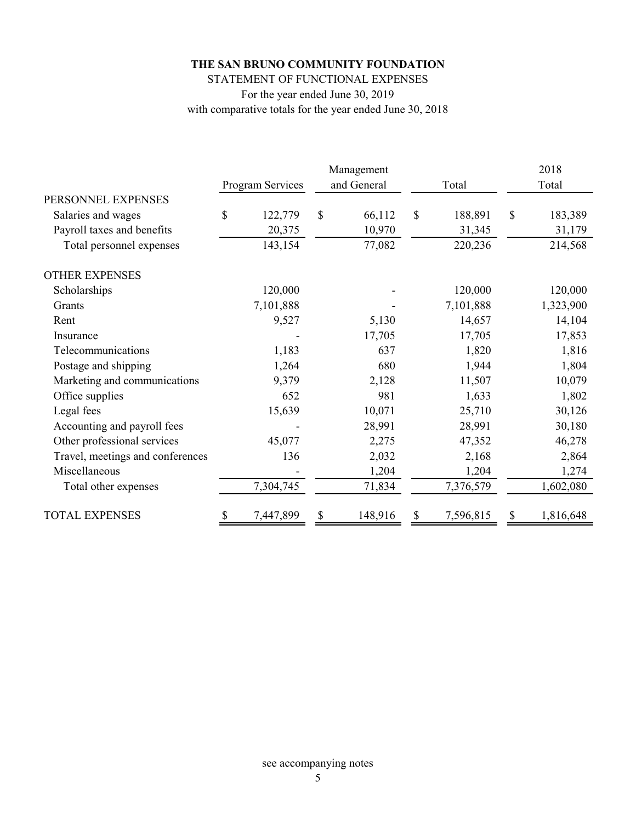### STATEMENT OF FUNCTIONAL EXPENSES with comparative totals for the year ended June 30, 2018 For the year ended June 30, 2019

|                                  |             |                  |             | Management  |              |           | 2018            |
|----------------------------------|-------------|------------------|-------------|-------------|--------------|-----------|-----------------|
|                                  |             | Program Services |             | and General |              | Total     | Total           |
| PERSONNEL EXPENSES               |             |                  |             |             |              |           |                 |
| Salaries and wages               | $\mathbf S$ | 122,779          | $\mathbf S$ | 66,112      | $\mathbb{S}$ | 188,891   | \$<br>183,389   |
| Payroll taxes and benefits       |             | 20,375           |             | 10,970      |              | 31,345    | 31,179          |
| Total personnel expenses         |             | 143,154          |             | 77,082      |              | 220,236   | 214,568         |
| <b>OTHER EXPENSES</b>            |             |                  |             |             |              |           |                 |
| Scholarships                     |             | 120,000          |             |             |              | 120,000   | 120,000         |
| Grants                           |             | 7,101,888        |             |             |              | 7,101,888 | 1,323,900       |
| Rent                             |             | 9,527            |             | 5,130       |              | 14,657    | 14,104          |
| Insurance                        |             |                  |             | 17,705      |              | 17,705    | 17,853          |
| Telecommunications               |             | 1,183            |             | 637         |              | 1,820     | 1,816           |
| Postage and shipping             |             | 1,264            |             | 680         |              | 1,944     | 1,804           |
| Marketing and communications     |             | 9,379            |             | 2,128       |              | 11,507    | 10,079          |
| Office supplies                  |             | 652              |             | 981         |              | 1,633     | 1,802           |
| Legal fees                       |             | 15,639           |             | 10,071      |              | 25,710    | 30,126          |
| Accounting and payroll fees      |             |                  |             | 28,991      |              | 28,991    | 30,180          |
| Other professional services      |             | 45,077           |             | 2,275       |              | 47,352    | 46,278          |
| Travel, meetings and conferences |             | 136              |             | 2,032       |              | 2,168     | 2,864           |
| Miscellaneous                    |             |                  |             | 1,204       |              | 1,204     | 1,274           |
| Total other expenses             |             | 7,304,745        |             | 71,834      |              | 7,376,579 | 1,602,080       |
| <b>TOTAL EXPENSES</b>            |             | 7,447,899        | \$          | 148,916     |              | 7,596,815 | \$<br>1,816,648 |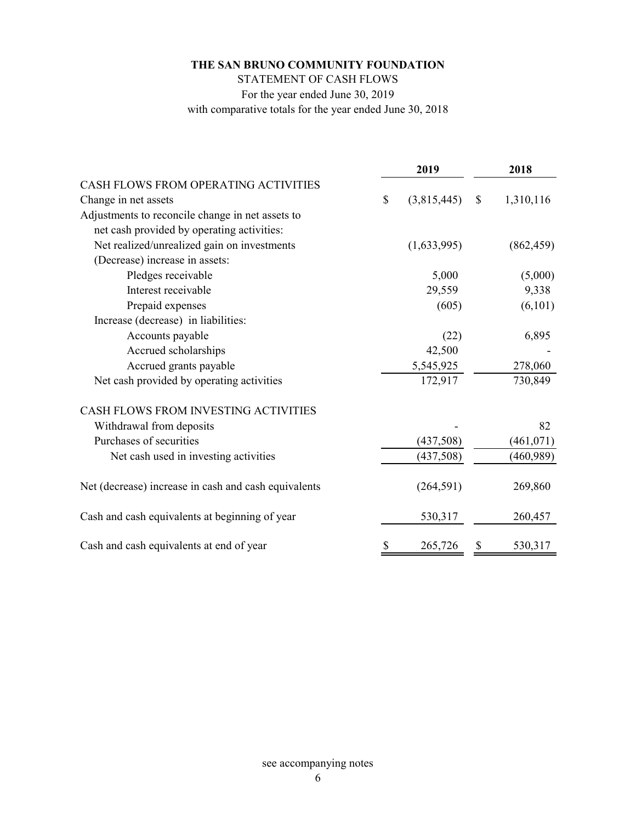STATEMENT OF CASH FLOWS

For the year ended June 30, 2019

with comparative totals for the year ended June 30, 2018

|                                                      | 2019              | 2018            |
|------------------------------------------------------|-------------------|-----------------|
| CASH FLOWS FROM OPERATING ACTIVITIES                 |                   |                 |
| Change in net assets                                 | \$<br>(3,815,445) | \$<br>1,310,116 |
| Adjustments to reconcile change in net assets to     |                   |                 |
| net cash provided by operating activities:           |                   |                 |
| Net realized/unrealized gain on investments          | (1,633,995)       | (862, 459)      |
| (Decrease) increase in assets:                       |                   |                 |
| Pledges receivable                                   | 5,000             | (5,000)         |
| Interest receivable                                  | 29,559            | 9,338           |
| Prepaid expenses                                     | (605)             | (6,101)         |
| Increase (decrease) in liabilities:                  |                   |                 |
| Accounts payable                                     | (22)              | 6,895           |
| Accrued scholarships                                 | 42,500            |                 |
| Accrued grants payable                               | 5,545,925         | 278,060         |
| Net cash provided by operating activities            | 172,917           | 730,849         |
| CASH FLOWS FROM INVESTING ACTIVITIES                 |                   |                 |
| Withdrawal from deposits                             |                   | 82              |
| Purchases of securities                              | (437,508)         | (461, 071)      |
| Net cash used in investing activities                | (437,508)         | (460,989)       |
| Net (decrease) increase in cash and cash equivalents | (264, 591)        | 269,860         |
| Cash and cash equivalents at beginning of year       | 530,317           | 260,457         |
| Cash and cash equivalents at end of year             | \$<br>265,726     | \$<br>530,317   |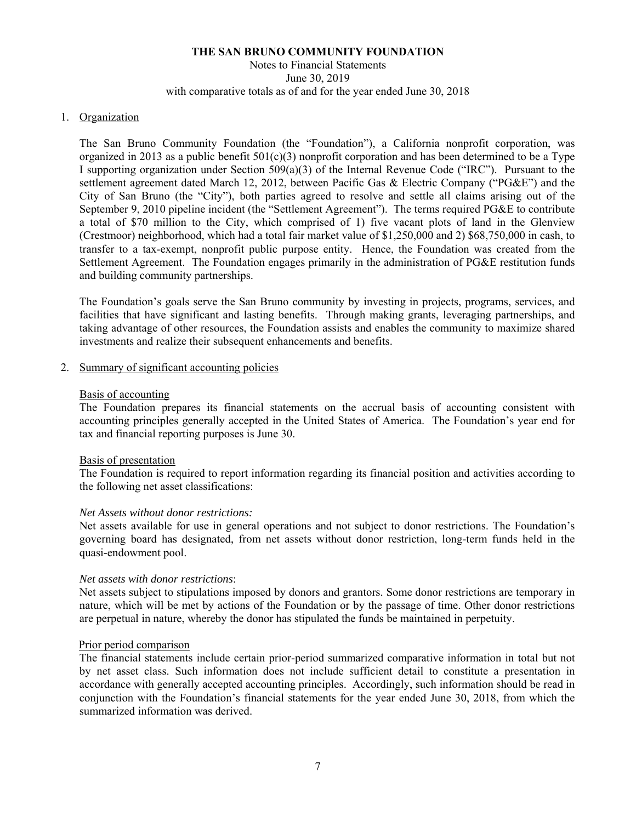#### **THE SAN BRUNO COMMUNITY FOUNDATION**  Notes to Financial Statements June 30, 2019 with comparative totals as of and for the year ended June 30, 2018

#### 1. Organization

The San Bruno Community Foundation (the "Foundation"), a California nonprofit corporation, was organized in 2013 as a public benefit  $501(c)(3)$  nonprofit corporation and has been determined to be a Type I supporting organization under Section 509(a)(3) of the Internal Revenue Code ("IRC"). Pursuant to the settlement agreement dated March 12, 2012, between Pacific Gas & Electric Company ("PG&E") and the City of San Bruno (the "City"), both parties agreed to resolve and settle all claims arising out of the September 9, 2010 pipeline incident (the "Settlement Agreement"). The terms required PG&E to contribute a total of \$70 million to the City, which comprised of 1) five vacant plots of land in the Glenview (Crestmoor) neighborhood, which had a total fair market value of \$1,250,000 and 2) \$68,750,000 in cash, to transfer to a tax-exempt, nonprofit public purpose entity. Hence, the Foundation was created from the Settlement Agreement. The Foundation engages primarily in the administration of PG&E restitution funds and building community partnerships.

The Foundation's goals serve the San Bruno community by investing in projects, programs, services, and facilities that have significant and lasting benefits. Through making grants, leveraging partnerships, and taking advantage of other resources, the Foundation assists and enables the community to maximize shared investments and realize their subsequent enhancements and benefits.

#### 2. Summary of significant accounting policies

#### Basis of accounting

The Foundation prepares its financial statements on the accrual basis of accounting consistent with accounting principles generally accepted in the United States of America. The Foundation's year end for tax and financial reporting purposes is June 30.

#### Basis of presentation

The Foundation is required to report information regarding its financial position and activities according to the following net asset classifications:

#### *Net Assets without donor restrictions:*

Net assets available for use in general operations and not subject to donor restrictions. The Foundation's governing board has designated, from net assets without donor restriction, long-term funds held in the quasi-endowment pool.

#### *Net assets with donor restrictions*:

Net assets subject to stipulations imposed by donors and grantors. Some donor restrictions are temporary in nature, which will be met by actions of the Foundation or by the passage of time. Other donor restrictions are perpetual in nature, whereby the donor has stipulated the funds be maintained in perpetuity.

#### Prior period comparison

 The financial statements include certain prior-period summarized comparative information in total but not by net asset class. Such information does not include sufficient detail to constitute a presentation in accordance with generally accepted accounting principles. Accordingly, such information should be read in conjunction with the Foundation's financial statements for the year ended June 30, 2018, from which the summarized information was derived.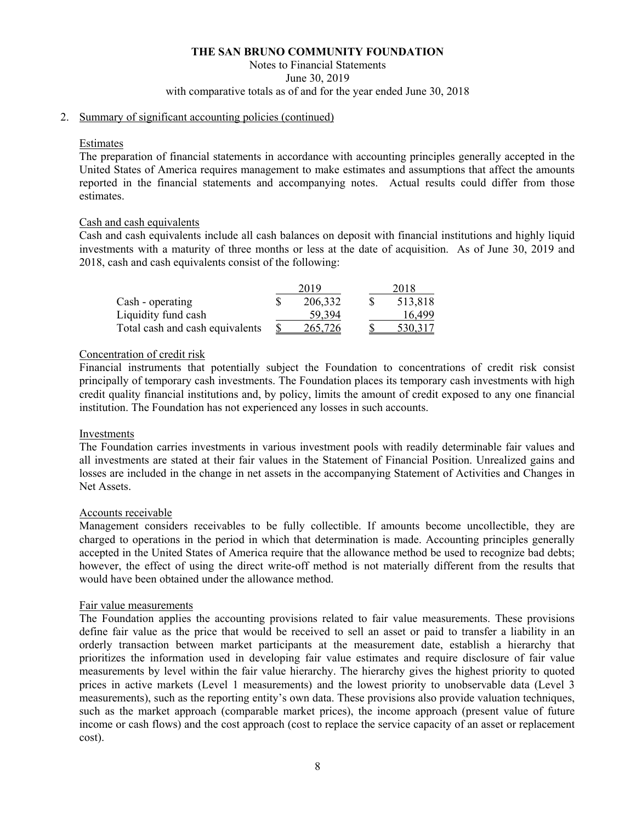# Notes to Financial Statements

June 30, 2019

with comparative totals as of and for the year ended June 30, 2018

#### 2. Summary of significant accounting policies (continued)

#### Estimates

The preparation of financial statements in accordance with accounting principles generally accepted in the United States of America requires management to make estimates and assumptions that affect the amounts reported in the financial statements and accompanying notes. Actual results could differ from those estimates.

#### Cash and cash equivalents

Cash and cash equivalents include all cash balances on deposit with financial institutions and highly liquid investments with a maturity of three months or less at the date of acquisition. As of June 30, 2019 and 2018, cash and cash equivalents consist of the following:

|                                 | 2019    | 2018    |
|---------------------------------|---------|---------|
| Cash - operating                | 206.332 | 513,818 |
| Liquidity fund cash             | 59.394  | 16.499  |
| Total cash and cash equivalents | 265,726 | 530.317 |

#### Concentration of credit risk

Financial instruments that potentially subject the Foundation to concentrations of credit risk consist principally of temporary cash investments. The Foundation places its temporary cash investments with high credit quality financial institutions and, by policy, limits the amount of credit exposed to any one financial institution. The Foundation has not experienced any losses in such accounts.

#### Investments

The Foundation carries investments in various investment pools with readily determinable fair values and all investments are stated at their fair values in the Statement of Financial Position. Unrealized gains and losses are included in the change in net assets in the accompanying Statement of Activities and Changes in Net Assets.

#### Accounts receivable

Management considers receivables to be fully collectible. If amounts become uncollectible, they are charged to operations in the period in which that determination is made. Accounting principles generally accepted in the United States of America require that the allowance method be used to recognize bad debts; however, the effect of using the direct write-off method is not materially different from the results that would have been obtained under the allowance method.

#### Fair value measurements

The Foundation applies the accounting provisions related to fair value measurements. These provisions define fair value as the price that would be received to sell an asset or paid to transfer a liability in an orderly transaction between market participants at the measurement date, establish a hierarchy that prioritizes the information used in developing fair value estimates and require disclosure of fair value measurements by level within the fair value hierarchy. The hierarchy gives the highest priority to quoted prices in active markets (Level 1 measurements) and the lowest priority to unobservable data (Level 3 measurements), such as the reporting entity's own data. These provisions also provide valuation techniques, such as the market approach (comparable market prices), the income approach (present value of future income or cash flows) and the cost approach (cost to replace the service capacity of an asset or replacement cost).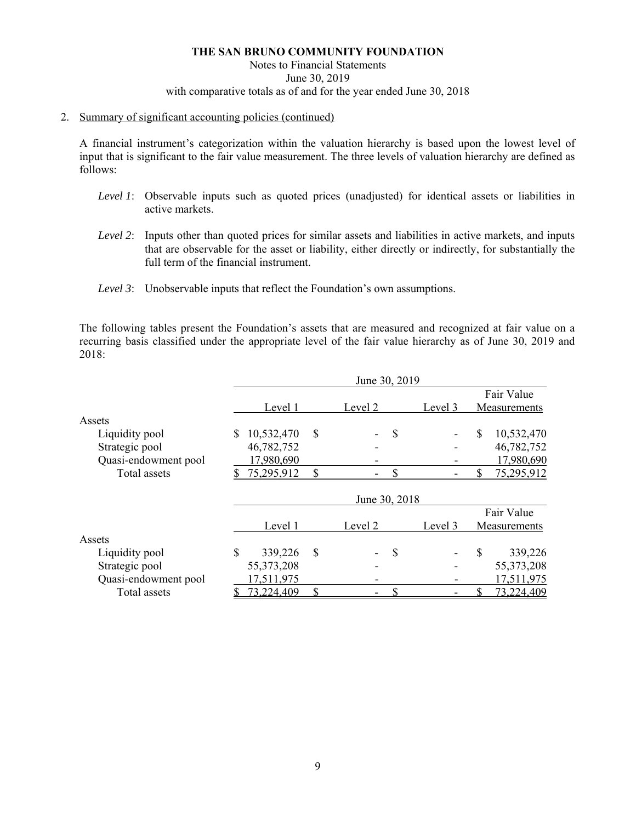#### **THE SAN BRUNO COMMUNITY FOUNDATION**  Notes to Financial Statements June 30, 2019 with comparative totals as of and for the year ended June 30, 2018

#### 2. Summary of significant accounting policies (continued)

A financial instrument's categorization within the valuation hierarchy is based upon the lowest level of input that is significant to the fair value measurement. The three levels of valuation hierarchy are defined as follows:

- *Level 1*: Observable inputs such as quoted prices (unadjusted) for identical assets or liabilities in active markets.
- *Level 2*: Inputs other than quoted prices for similar assets and liabilities in active markets, and inputs that are observable for the asset or liability, either directly or indirectly, for substantially the full term of the financial instrument.
- *Level 3*: Unobservable inputs that reflect the Foundation's own assumptions.

The following tables present the Foundation's assets that are measured and recognized at fair value on a recurring basis classified under the appropriate level of the fair value hierarchy as of June 30, 2019 and 2018:

|                      |            |               | June 30, 2019 |         |                  |
|----------------------|------------|---------------|---------------|---------|------------------|
|                      |            |               |               |         | Fair Value       |
|                      |            | Level 1       | Level 2       | Level 3 | Measurements     |
| Assets               |            |               |               |         |                  |
| Liquidity pool       | 10,532,470 | S             |               | \$      | \$<br>10,532,470 |
| Strategic pool       | 46,782,752 |               |               |         | 46,782,752       |
| Quasi-endowment pool | 17,980,690 |               |               |         | 17,980,690       |
| Total assets         | 75,295,912 |               |               |         | 75,295,912       |
|                      |            |               | June 30, 2018 |         |                  |
|                      |            |               |               |         | Fair Value       |
|                      |            | Level 1       | Level 2       | Level 3 | Measurements     |
| Assets               |            |               |               |         |                  |
| Liquidity pool       | \$         | \$<br>339,226 |               | \$      | \$<br>339,226    |
| Strategic pool       | 55,373,208 |               |               |         | 55,373,208       |
| Quasi-endowment pool | 17,511,975 |               |               |         | 17,511,975       |
| Total assets         | 73,224,409 | \$            |               | \$      | 73,224,409       |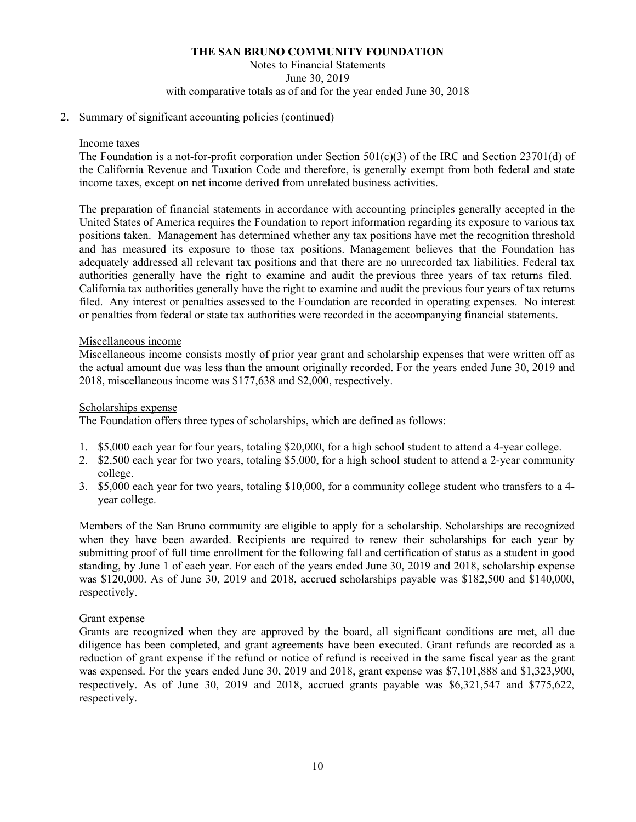#### Notes to Financial Statements June 30, 2019 with comparative totals as of and for the year ended June 30, 2018

#### 2. Summary of significant accounting policies (continued)

#### Income taxes

The Foundation is a not-for-profit corporation under Section  $501(c)(3)$  of the IRC and Section 23701(d) of the California Revenue and Taxation Code and therefore, is generally exempt from both federal and state income taxes, except on net income derived from unrelated business activities.

The preparation of financial statements in accordance with accounting principles generally accepted in the United States of America requires the Foundation to report information regarding its exposure to various tax positions taken. Management has determined whether any tax positions have met the recognition threshold and has measured its exposure to those tax positions. Management believes that the Foundation has adequately addressed all relevant tax positions and that there are no unrecorded tax liabilities. Federal tax authorities generally have the right to examine and audit the previous three years of tax returns filed. California tax authorities generally have the right to examine and audit the previous four years of tax returns filed. Any interest or penalties assessed to the Foundation are recorded in operating expenses. No interest or penalties from federal or state tax authorities were recorded in the accompanying financial statements.

#### Miscellaneous income

Miscellaneous income consists mostly of prior year grant and scholarship expenses that were written off as the actual amount due was less than the amount originally recorded. For the years ended June 30, 2019 and 2018, miscellaneous income was \$177,638 and \$2,000, respectively.

#### Scholarships expense

The Foundation offers three types of scholarships, which are defined as follows:

- 1. \$5,000 each year for four years, totaling \$20,000, for a high school student to attend a 4-year college.
- 2. \$2,500 each year for two years, totaling \$5,000, for a high school student to attend a 2-year community college.
- 3. \$5,000 each year for two years, totaling \$10,000, for a community college student who transfers to a 4 year college.

Members of the San Bruno community are eligible to apply for a scholarship. Scholarships are recognized when they have been awarded. Recipients are required to renew their scholarships for each year by submitting proof of full time enrollment for the following fall and certification of status as a student in good standing, by June 1 of each year. For each of the years ended June 30, 2019 and 2018, scholarship expense was \$120,000. As of June 30, 2019 and 2018, accrued scholarships payable was \$182,500 and \$140,000, respectively.

#### Grant expense

Grants are recognized when they are approved by the board, all significant conditions are met, all due diligence has been completed, and grant agreements have been executed. Grant refunds are recorded as a reduction of grant expense if the refund or notice of refund is received in the same fiscal year as the grant was expensed. For the years ended June 30, 2019 and 2018, grant expense was \$7,101,888 and \$1,323,900, respectively. As of June 30, 2019 and 2018, accrued grants payable was \$6,321,547 and \$775,622, respectively.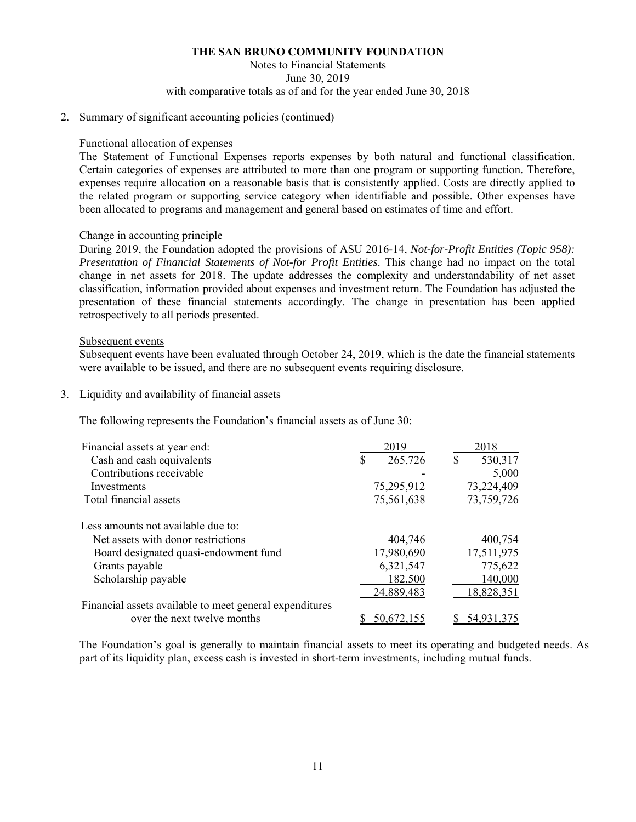#### Notes to Financial Statements June 30, 2019 with comparative totals as of and for the year ended June 30, 2018

#### 2. Summary of significant accounting policies (continued)

#### Functional allocation of expenses

The Statement of Functional Expenses reports expenses by both natural and functional classification. Certain categories of expenses are attributed to more than one program or supporting function. Therefore, expenses require allocation on a reasonable basis that is consistently applied. Costs are directly applied to the related program or supporting service category when identifiable and possible. Other expenses have been allocated to programs and management and general based on estimates of time and effort.

#### Change in accounting principle

During 2019, the Foundation adopted the provisions of ASU 2016-14, *Not-for-Profit Entities (Topic 958): Presentation of Financial Statements of Not-for Profit Entities*. This change had no impact on the total change in net assets for 2018. The update addresses the complexity and understandability of net asset classification, information provided about expenses and investment return. The Foundation has adjusted the presentation of these financial statements accordingly. The change in presentation has been applied retrospectively to all periods presented.

#### Subsequent events

Subsequent events have been evaluated through October 24, 2019, which is the date the financial statements were available to be issued, and there are no subsequent events requiring disclosure.

#### 3. Liquidity and availability of financial assets

The following represents the Foundation's financial assets as of June 30:

| Financial assets at year end:                           | 2019         | 2018          |
|---------------------------------------------------------|--------------|---------------|
| Cash and cash equivalents                               | S<br>265,726 | \$<br>530,317 |
| Contributions receivable                                |              | 5,000         |
| Investments                                             | 75,295,912   | 73,224,409    |
| Total financial assets                                  | 75,561,638   | 73,759,726    |
| Less amounts not available due to:                      |              |               |
| Net assets with donor restrictions                      | 404,746      | 400,754       |
| Board designated quasi-endowment fund                   | 17,980,690   | 17,511,975    |
| Grants payable                                          | 6,321,547    | 775,622       |
| Scholarship payable                                     | 182,500      | 140,000       |
|                                                         | 24,889,483   | 18,828,351    |
| Financial assets available to meet general expenditures |              |               |
| over the next twelve months                             | 50.672.15    | 54.931.       |

The Foundation's goal is generally to maintain financial assets to meet its operating and budgeted needs. As part of its liquidity plan, excess cash is invested in short-term investments, including mutual funds.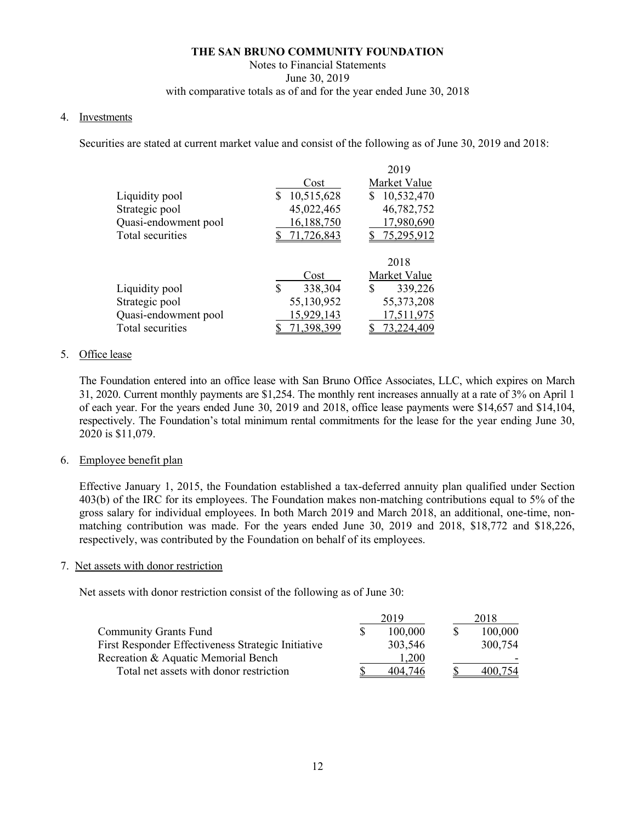# Notes to Financial Statements

June 30, 2019

#### with comparative totals as of and for the year ended June 30, 2018

#### 4. Investments

Securities are stated at current market value and consist of the following as of June 30, 2019 and 2018:

|                      |     |            | 2019             |
|----------------------|-----|------------|------------------|
|                      |     | Cost       | Market Value     |
| Liquidity pool       |     | 10,515,628 | \$<br>10,532,470 |
| Strategic pool       |     | 45,022,465 | 46,782,752       |
| Quasi-endowment pool |     | 16,188,750 | 17,980,690       |
| Total securities     |     | 71,726,843 | \$75,295,912     |
|                      |     |            |                  |
|                      |     |            | 2018             |
|                      |     | Cost       | Market Value     |
| Liquidity pool       | \$. | 338,304    | \$<br>339,226    |
| Strategic pool       |     | 55,130,952 | 55,373,208       |
| Quasi-endowment pool |     | 15,929,143 | 17,511,975       |
| Total securities     |     | 1.398.39   | 73.224.409       |

#### 5. Office lease

The Foundation entered into an office lease with San Bruno Office Associates, LLC, which expires on March 31, 2020. Current monthly payments are \$1,254. The monthly rent increases annually at a rate of 3% on April 1 of each year. For the years ended June 30, 2019 and 2018, office lease payments were \$14,657 and \$14,104, respectively. The Foundation's total minimum rental commitments for the lease for the year ending June 30, 2020 is \$11,079.

#### 6. Employee benefit plan

 Effective January 1, 2015, the Foundation established a tax-deferred annuity plan qualified under Section 403(b) of the IRC for its employees. The Foundation makes non-matching contributions equal to 5% of the gross salary for individual employees. In both March 2019 and March 2018, an additional, one-time, nonmatching contribution was made. For the years ended June 30, 2019 and 2018, \$18,772 and \$18,226, respectively, was contributed by the Foundation on behalf of its employees.

#### 7. Net assets with donor restriction

Net assets with donor restriction consist of the following as of June 30:

| <b>Community Grants Fund</b>                       | 100,000 | 100,000 |
|----------------------------------------------------|---------|---------|
| First Responder Effectiveness Strategic Initiative | 303,546 | 300,754 |
| Recreation & Aquatic Memorial Bench                | .200    |         |
| Total net assets with donor restriction            | 404.746 |         |